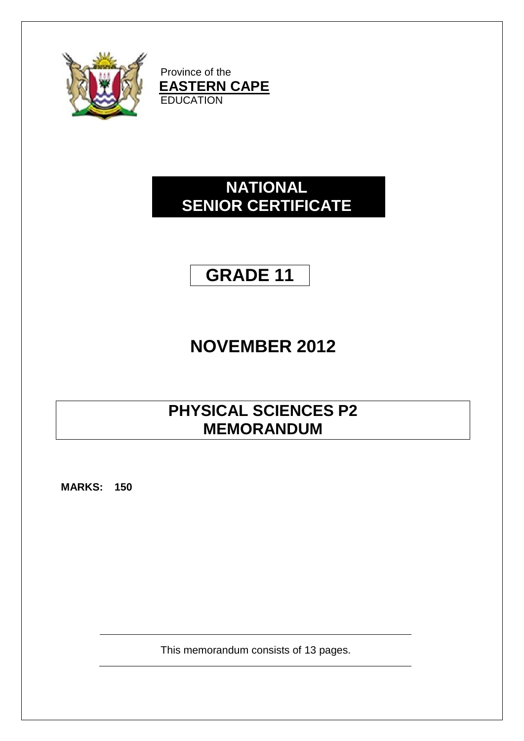

Province of the **EASTERN CAPE EDUCATION** 

## **NATIONAL SENIOR CERTIFICATE**

# **GRADE 11**

# **NOVEMBER 2012**

## **PHYSICAL SCIENCES P2 MEMORANDUM**

**MARKS: 150**

This memorandum consists of 13 pages.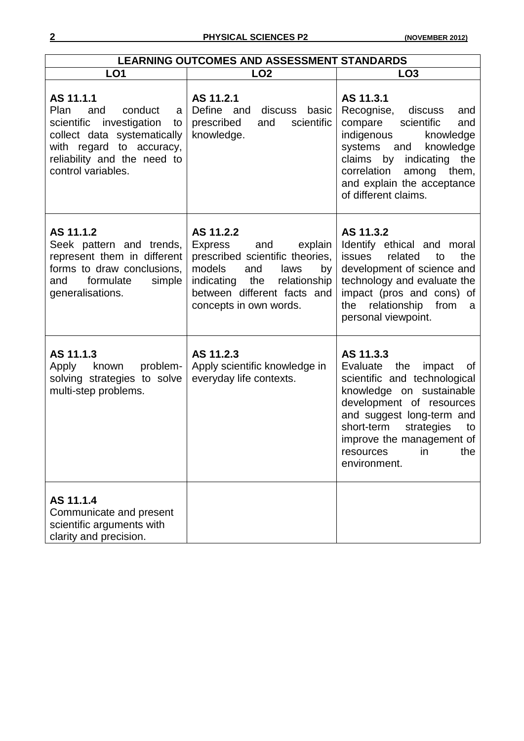| <b>LEARNING OUTCOMES AND ASSESSMENT STANDARDS</b>                                                                                                                                             |                                                                                                                                                                                                               |                                                                                                                                                                                                                                                                            |  |
|-----------------------------------------------------------------------------------------------------------------------------------------------------------------------------------------------|---------------------------------------------------------------------------------------------------------------------------------------------------------------------------------------------------------------|----------------------------------------------------------------------------------------------------------------------------------------------------------------------------------------------------------------------------------------------------------------------------|--|
| LO <sub>1</sub>                                                                                                                                                                               | LO <sub>2</sub>                                                                                                                                                                                               | LO <sub>3</sub>                                                                                                                                                                                                                                                            |  |
| AS 11.1.1<br>Plan<br>conduct<br>and<br>a<br>investigation<br>scientific<br>to<br>collect data systematically<br>with regard to accuracy,<br>reliability and the need to<br>control variables. | AS 11.2.1<br>Define and<br>discuss basic<br>scientific<br>prescribed<br>and<br>knowledge.                                                                                                                     | AS 11.3.1<br>Recognise,<br>discuss<br>and<br>compare<br>scientific<br>and<br>indigenous<br>knowledge<br>systems and<br>knowledge<br>claims by<br>indicating<br>the<br>correlation<br>among<br>them,<br>and explain the acceptance<br>of different claims.                  |  |
| AS 11.1.2<br>Seek pattern and trends,<br>represent them in different<br>forms to draw conclusions,<br>formulate<br>simple<br>and<br>generalisations.                                          | AS 11.2.2<br><b>Express</b><br>and<br>explain<br>prescribed scientific theories,<br>models<br>laws<br>and<br>by<br>indicating<br>the<br>relationship<br>between different facts and<br>concepts in own words. | AS 11.3.2<br>Identify ethical and moral<br><b>issues</b><br>related<br>the<br>to<br>development of science and<br>technology and evaluate the<br>impact (pros and cons) of<br>relationship<br>from<br>the<br>a<br>personal viewpoint.                                      |  |
| AS 11.1.3<br>problem-<br>Apply<br>known<br>solving strategies to solve<br>multi-step problems.                                                                                                | AS 11.2.3<br>Apply scientific knowledge in<br>everyday life contexts.                                                                                                                                         | AS 11.3.3<br>the<br>Evaluate<br>impact<br>0f<br>scientific and technological<br>knowledge on sustainable<br>development of resources<br>and suggest long-term and<br>short-term<br>strategies<br>to<br>improve the management of<br>resources<br>in<br>the<br>environment. |  |
| AS 11.1.4<br>Communicate and present<br>scientific arguments with<br>clarity and precision.                                                                                                   |                                                                                                                                                                                                               |                                                                                                                                                                                                                                                                            |  |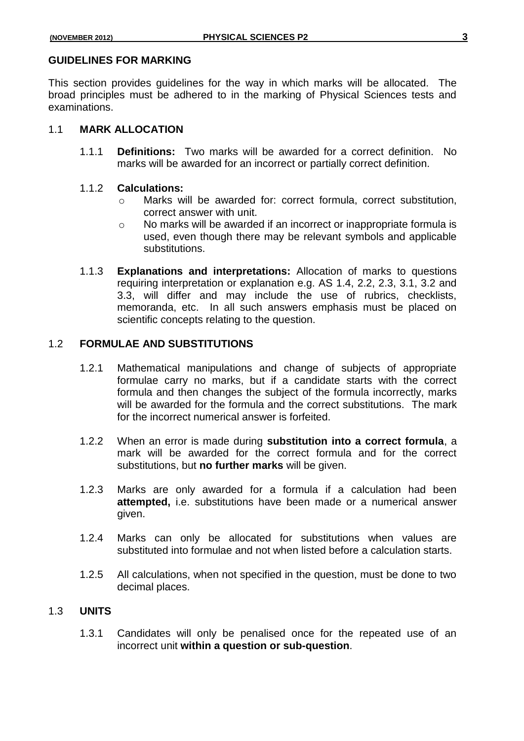#### **GUIDELINES FOR MARKING**

This section provides guidelines for the way in which marks will be allocated. The broad principles must be adhered to in the marking of Physical Sciences tests and examinations.

#### 1.1 **MARK ALLOCATION**

1.1.1 **Definitions:** Two marks will be awarded for a correct definition. No marks will be awarded for an incorrect or partially correct definition.

#### 1.1.2 **Calculations:**

- o Marks will be awarded for: correct formula, correct substitution, correct answer with unit.
- o No marks will be awarded if an incorrect or inappropriate formula is used, even though there may be relevant symbols and applicable substitutions.
- 1.1.3 **Explanations and interpretations:** Allocation of marks to questions requiring interpretation or explanation e.g. AS 1.4, 2.2, 2.3, 3.1, 3.2 and 3.3, will differ and may include the use of rubrics, checklists, memoranda, etc. In all such answers emphasis must be placed on scientific concepts relating to the question.

#### 1.2 **FORMULAE AND SUBSTITUTIONS**

- 1.2.1 Mathematical manipulations and change of subjects of appropriate formulae carry no marks, but if a candidate starts with the correct formula and then changes the subject of the formula incorrectly, marks will be awarded for the formula and the correct substitutions. The mark for the incorrect numerical answer is forfeited.
- 1.2.2 When an error is made during **substitution into a correct formula**, a mark will be awarded for the correct formula and for the correct substitutions, but **no further marks** will be given.
- 1.2.3 Marks are only awarded for a formula if a calculation had been **attempted,** i.e. substitutions have been made or a numerical answer given.
- 1.2.4 Marks can only be allocated for substitutions when values are substituted into formulae and not when listed before a calculation starts.
- 1.2.5 All calculations, when not specified in the question, must be done to two decimal places.

## 1.3 **UNITS**

1.3.1 Candidates will only be penalised once for the repeated use of an incorrect unit **within a question or sub-question**.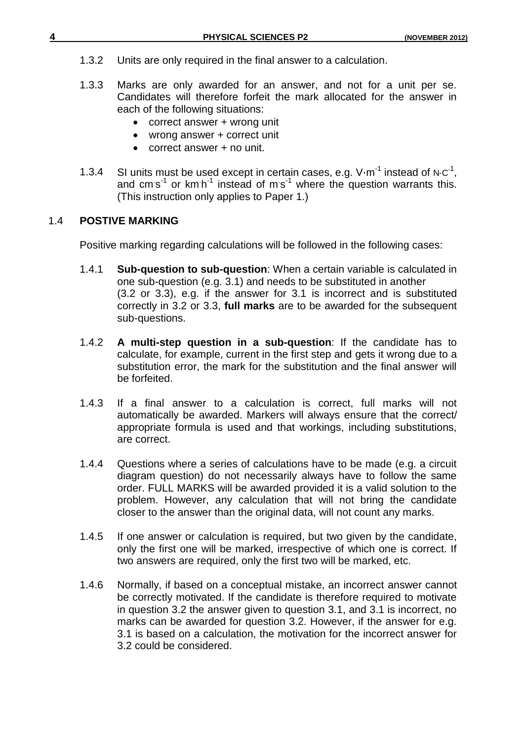- 1.3.2 Units are only required in the final answer to a calculation.
- 1.3.3 Marks are only awarded for an answer, and not for a unit per se. Candidates will therefore forfeit the mark allocated for the answer in each of the following situations:
	- correct answer + wrong unit
	- wrong answer + correct unit
	- correct answer + no unit.
- 1.3.4 SI units must be used except in certain cases, e.g. V $\cdot$ m<sup>-1</sup> instead of N⋅C<sup>-1</sup>, and cm s<sup>-1</sup> or km h<sup>-1</sup> instead of m s<sup>-1</sup> where the question warrants this. (This instruction only applies to Paper 1.)

## 1.4 **POSTIVE MARKING**

Positive marking regarding calculations will be followed in the following cases:

- 1.4.1 **Sub-question to sub-question**: When a certain variable is calculated in one sub-question (e.g. 3.1) and needs to be substituted in another (3.2 or 3.3), e.g. if the answer for 3.1 is incorrect and is substituted correctly in 3.2 or 3.3, **full marks** are to be awarded for the subsequent sub-questions.
- 1.4.2 **A multi-step question in a sub-question**: If the candidate has to calculate, for example, current in the first step and gets it wrong due to a substitution error, the mark for the substitution and the final answer will be forfeited.
- 1.4.3 If a final answer to a calculation is correct, full marks will not automatically be awarded. Markers will always ensure that the correct/ appropriate formula is used and that workings, including substitutions, are correct.
- 1.4.4 Questions where a series of calculations have to be made (e.g. a circuit diagram question) do not necessarily always have to follow the same order. FULL MARKS will be awarded provided it is a valid solution to the problem. However, any calculation that will not bring the candidate closer to the answer than the original data, will not count any marks.
- 1.4.5 If one answer or calculation is required, but two given by the candidate, only the first one will be marked, irrespective of which one is correct. If two answers are required, only the first two will be marked, etc.
- 1.4.6 Normally, if based on a conceptual mistake, an incorrect answer cannot be correctly motivated. If the candidate is therefore required to motivate in question 3.2 the answer given to question 3.1, and 3.1 is incorrect, no marks can be awarded for question 3.2. However, if the answer for e.g. 3.1 is based on a calculation, the motivation for the incorrect answer for 3.2 could be considered.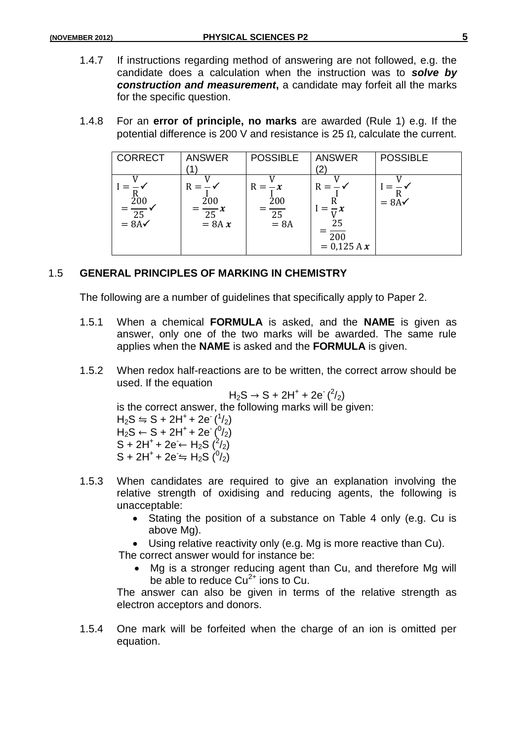- 1.4.7 If instructions regarding method of answering are not followed, e.g. the candidate does a calculation when the instruction was to *solve by construction and measurement*, a candidate may forfeit all the marks for the specific question.
- 1.4.8 For an **error of principle, no marks** are awarded (Rule 1) e.g. If the potential difference is 200 V and resistance is 25  $Ω$ , calculate the current.

| <b>CORRECT</b>                           | <b>ANSWER</b>                               | <b>POSSIBLE</b>                 | <b>ANSWER</b><br>(2`                             | <b>POSSIBLE</b>  |
|------------------------------------------|---------------------------------------------|---------------------------------|--------------------------------------------------|------------------|
| $=\frac{\dot{200}}{25}$ $= 8A\checkmark$ | $R =$<br>200<br>$\frac{1}{25}x$<br>$= 8A x$ | $R = -x$<br>200<br>25<br>$= 8A$ | $R =$<br>25<br>$\overline{200}$<br>$= 0.125 A x$ | $= 8A\checkmark$ |

#### 1.5 **GENERAL PRINCIPLES OF MARKING IN CHEMISTRY**

The following are a number of guidelines that specifically apply to Paper 2.

- 1.5.1 When a chemical **FORMULA** is asked, and the **NAME** is given as answer, only one of the two marks will be awarded. The same rule applies when the **NAME** is asked and the **FORMULA** is given.
- 1.5.2 When redox half-reactions are to be written, the correct arrow should be used. If the equation

 $H_2S \to S + 2H^+ + 2e^{2/2}$ 

is the correct answer, the following marks will be given:

 $H_2S \leftrightharpoons S + 2H^+ + 2e^{-1/2}$  $H_2S \leftarrow S + 2H^+ + 2e^{-(0/2)}$ S + 2H<sup>+</sup> + 2e ← H<sub>2</sub>S (<sup>2</sup>/<sub>2</sub>)  $S + 2H^+ + 2e \leftrightharpoons H_2S$   $\binom{0}{2}$ 

- 1.5.3 When candidates are required to give an explanation involving the relative strength of oxidising and reducing agents, the following is unacceptable:
	- Stating the position of a substance on Table 4 only (e.g. Cu is above Mg).
	- Using relative reactivity only (e.g. Mg is more reactive than Cu).

The correct answer would for instance be:

 Mg is a stronger reducing agent than Cu, and therefore Mg will be able to reduce  $Cu^{2+}$  ions to Cu.

The answer can also be given in terms of the relative strength as electron acceptors and donors.

1.5.4 One mark will be forfeited when the charge of an ion is omitted per equation.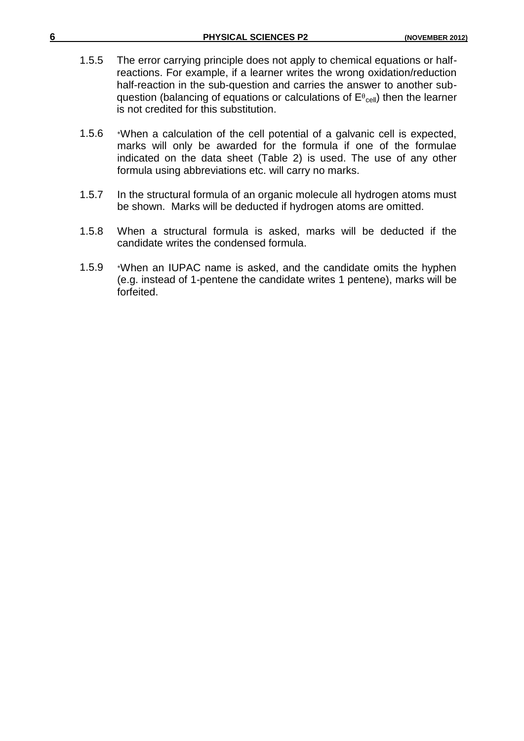| 6 |       | <b>PHYSICAL SCIENCES P2</b>                                                                                                                                                                                                                                                                                                                                                 | (NOVEMBER 2012) |
|---|-------|-----------------------------------------------------------------------------------------------------------------------------------------------------------------------------------------------------------------------------------------------------------------------------------------------------------------------------------------------------------------------------|-----------------|
|   | 1.5.5 | The error carrying principle does not apply to chemical equations or half-<br>reactions. For example, if a learner writes the wrong oxidation/reduction<br>half-reaction in the sub-question and carries the answer to another sub-<br>question (balancing of equations or calculations of $E^{\theta_{cell}}$ ) then the learner<br>is not credited for this substitution. |                 |
|   | 1.5.6 | *When a calculation of the cell potential of a galvanic cell is expected,<br>marks will only be awarded for the formula if one of the formulae<br>indicated on the data sheet (Table 2) is used. The use of any other<br>formula using abbreviations etc. will carry no marks.                                                                                              |                 |
|   | 1.5.7 | In the structural formula of an organic molecule all hydrogen atoms must<br>be shown. Marks will be deducted if hydrogen atoms are omitted.                                                                                                                                                                                                                                 |                 |
|   | 1.5.8 | When a structural formula is asked, marks will be deducted if the<br>candidate writes the condensed formula.                                                                                                                                                                                                                                                                |                 |
|   | 1.5.9 | *When an IUPAC name is asked, and the candidate omits the hyphen<br>(e.g. instead of 1-pentene the candidate writes 1 pentene), marks will be<br>forfeited.                                                                                                                                                                                                                 |                 |
|   |       |                                                                                                                                                                                                                                                                                                                                                                             |                 |
|   |       |                                                                                                                                                                                                                                                                                                                                                                             |                 |
|   |       |                                                                                                                                                                                                                                                                                                                                                                             |                 |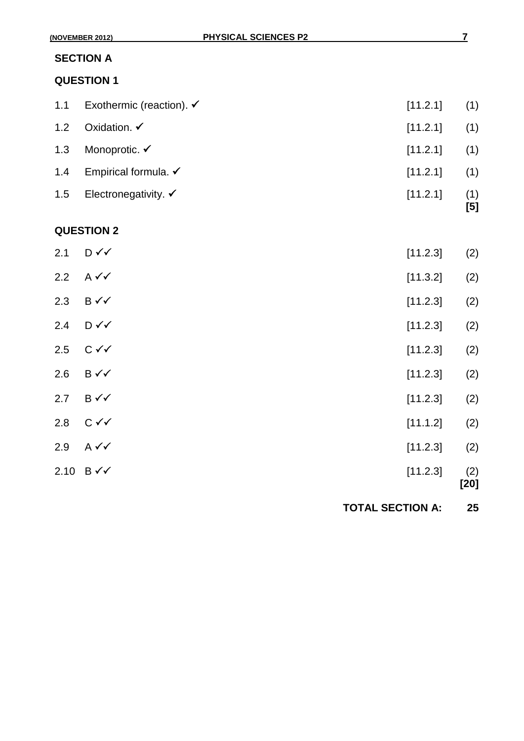| 1.1 | Exothermic (reaction). $\checkmark$ | [11.2.1] | (1)        |
|-----|-------------------------------------|----------|------------|
| 1.2 | Oxidation. $\checkmark$             | [11.2.1] | (1)        |
| 1.3 | Monoprotic. ✔                       | [11.2.1] | (1)        |
| 1.4 | Empirical formula. $\checkmark$     | [11.2.1] | (1)        |
| 1.5 | Electronegativity. $\checkmark$     | [11.2.1] | (1)<br>[5] |
|     | <b>QUESTION 2</b>                   |          |            |
| 2.1 | D✓✓                                 | [11.2.3] | (2)        |
| 2.2 | $A \vee C$                          | [11.3.2] | (2)        |
|     |                                     |          |            |

- 2.3 B  $\checkmark\checkmark$  [11.2.3] (2) 2.4  $D \checkmark$  (2)
- 2.5  $C \checkmark$  (2)
- 2.6 B  $\checkmark$  (2)
- 2.7 B  $\checkmark$  (2) 2.8  $C \checkmark$  (2)
- $2.9$  A  $\checkmark\checkmark$  (2)
- $2.10 \text{ B} \checkmark$  (2)
	- **[20]**

**TOTAL SECTION A: 25**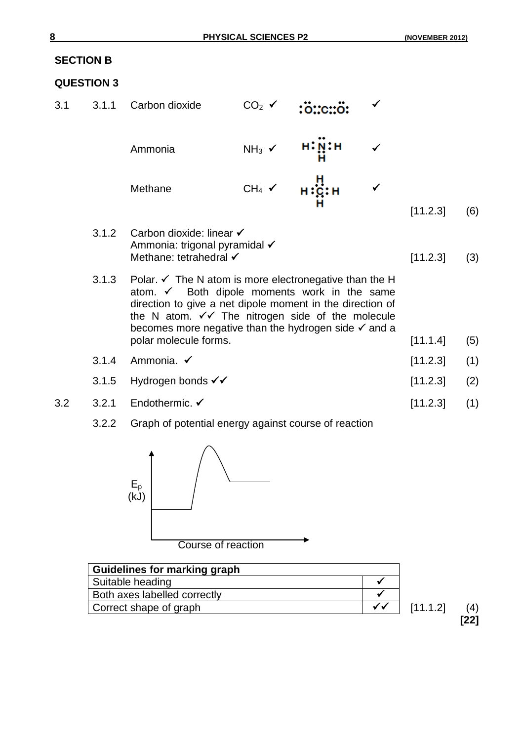## **SECTION B**

## **QUESTION 3**

- 3.1 3.1.1 Carbon dioxide  $CO_2 \times \frac{16}{10}$ : C.:  $\ddot{o}$ :  $[11.2.3] (6)$ Ammonia  $NH_3 \times \begin{array}{c} H:\mathbf{N}\cdot H\cdot \mathbf{N} \cdot \mathbf{H} \end{array}$ Methane  $CH_4 \times H^1_{\mathbf{C}}:H \times$ 3.1.2 Carbon dioxide: linear Ammonia: trigonal pyramidal √ Methane: tetrahedral  $\checkmark$  (3)
	- 3.1.3 Polar.  $\checkmark$  The N atom is more electronegative than the H atom.  $\checkmark$  Both dipole moments work in the same direction to give a net dipole moment in the direction of the N atom.  $\checkmark\checkmark$  The nitrogen side of the molecule becomes more negative than the hydrogen side  $\checkmark$  and a polar molecule forms. [11.1.4] (5)
	- 3.1.4 Ammonia. [11.2.3] (1)
	- 3.1.5 Hydrogen bonds  $\checkmark$  (2) [11.2.3] (2)
- 3.2 3.2.1 Endothermic. <del>V</del> [11.2.3] (1)
	- 3.2.2 Graph of potential energy against course of reaction



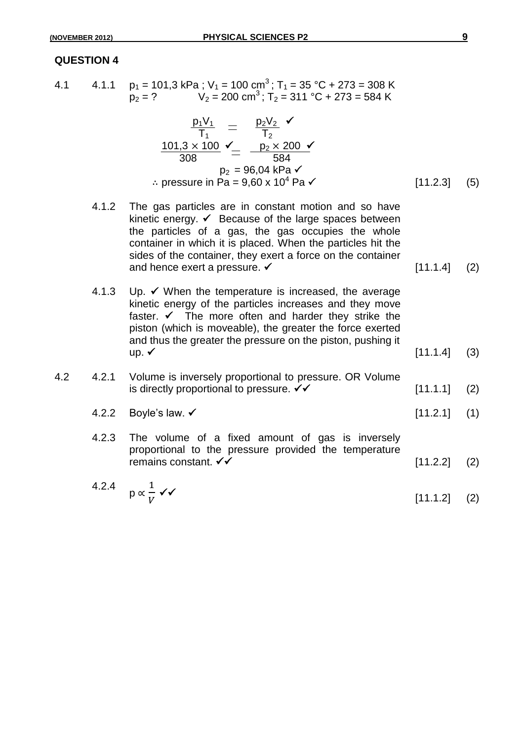4.1 4.1.1  $p_1 = 101, 3 \text{ kPa}$ ; V<sub>1</sub> = 100 cm<sup>3</sup>; T<sub>1</sub> = 35 °C + 273 = 308 K  $p_2 = ?$   $V_2 = 200 \text{ cm}^3$ ; T<sub>2</sub> = 311 °C + 273 = 584 K

$$
\frac{p_1 V_1}{T_1} = \frac{p_2 V_2}{T_2}
$$
\n
$$
\frac{101,3 \times 100}{308} \times \frac{100}{2} = \frac{p_2 \times 200}{584}
$$
\n
$$
p_2 = 96,04 \text{ kPa} \times
$$
\n
$$
\therefore \text{ pressure in Pa} = 9,60 \times 10^4 \text{ Pa} \times \text{ [11.2.3] (5)}
$$

- 4.1.2 The gas particles are in constant motion and so have kinetic energy.  $\checkmark$  Because of the large spaces between the particles of a gas, the gas occupies the whole container in which it is placed. When the particles hit the sides of the container, they exert a force on the container and hence exert a pressure.  $\checkmark$  [11.1.4] (2)
- 4.1.3 Up.  $\checkmark$  When the temperature is increased, the average kinetic energy of the particles increases and they move faster.  $\checkmark$  The more often and harder they strike the piston (which is moveable), the greater the force exerted and thus the greater the pressure on the piston, pushing it  $up. \checkmark$  (3)
- 4.2 4.2.1 Volume is inversely proportional to pressure. OR Volume is directly proportional to pressure.  $\checkmark\checkmark$  [11.1.1] (2)
	- 4.2.2 Boyle's law.  $\checkmark$  (11.2.1] (1)
	- 4.2.3 The volume of a fixed amount of gas is inversely proportional to the pressure provided the temperature remains constant.  $\checkmark$  (2) [11.2.2] (2)
	- 4.2.4 p ∝  $\mathbf{1}$ V  $\checkmark\checkmark$  (2)  $[11.1.2]$  (2)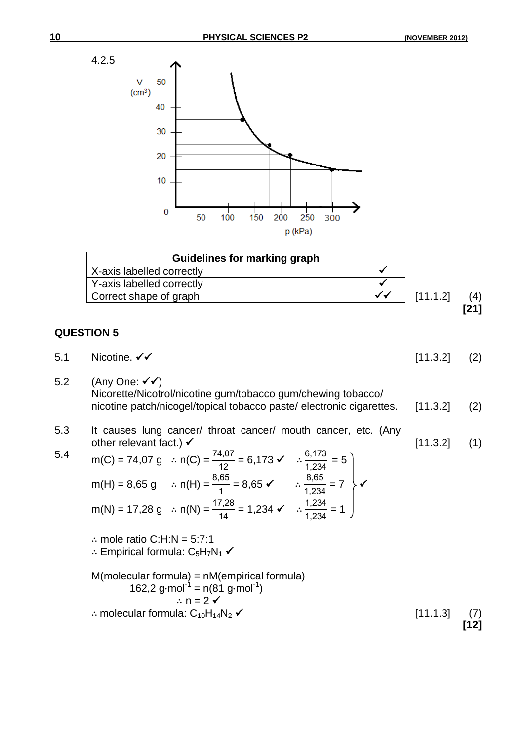



- 5.1 Nicotine.  $\checkmark\checkmark$  (2) 5.2 (Any One:  $\checkmark \checkmark$ )
- Nicorette/Nicotrol/nicotine gum/tobacco gum/chewing tobacco/ nicotine patch/nicogel/topical tobacco paste/ electronic cigarettes. [11.3.2] (2)
- 5.3 It causes lung cancer/ throat cancer/ mouth cancer, etc. (Any other relevant fact.)  $\times$   $\frac{11.3.2}{1}$  (1)  $0.470$

5.4 
$$
m(C) = 74.07 \text{ g}
$$
  $\therefore n(C) = \frac{74.07}{12} = 6.173 \checkmark$   $\therefore \frac{6.173}{1,234} = 5$   
\n $m(H) = 8.65 \text{ g}$   $\therefore n(H) = \frac{8.65}{1} = 8.65 \checkmark$   $\therefore \frac{8.65}{1,234} = 7$   
\n $m(N) = 17.28 \text{ g}$   $\therefore n(N) = \frac{17.28}{14} = 1.234 \checkmark$   $\therefore \frac{1,234}{1,234} = 1$ 

∴ mole ratio C:H:N = 5:7:1 ∴ Empirical formula:  $C_5H_7N_1$   $\checkmark$ M(molecular formula) = nM(empirical formula) 162,2 g⋅mol<sup>-1</sup> = n(81 g⋅mol<sup>-1</sup>) ∴  $n = 2$   $\checkmark$ 

∴ molecular formula:  $C_{10}H_{14}N_2$   $\checkmark$  (7) [11.1.3] (7)

**[12]**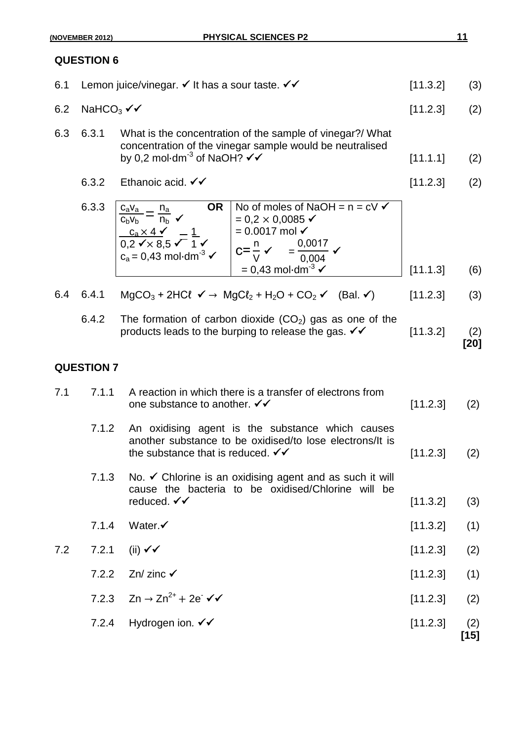**[20]**

## **QUESTION 6**

|                                               | 6.1 Lemon juice/vinegar. $\checkmark$ It has a sour taste. $\checkmark\checkmark$                                     | [11.3.2]       | (3) |
|-----------------------------------------------|-----------------------------------------------------------------------------------------------------------------------|----------------|-----|
| 6.2 NaHCO <sub>3</sub> $\checkmark\checkmark$ |                                                                                                                       | $[11.2.3]$ (2) |     |
| 6.3 6.3.1                                     | What is the concentration of the sample of vinegar?/ What<br>concentration of the vinegar sample would be neutralised |                |     |

- by 0,2 mol⋅dm $^{-3}$  of NaOH? ✔✔  $\hspace{2cm} [11.1.1]$  (2)
- 6.3.2 Ethanoic acid.  $\checkmark\checkmark$  (2)

| 6.3.3 | ΟR<br>$c_a v_a$<br>Пa                          | No of moles of NaOH = $n = c \vee \checkmark$ |          |     |
|-------|------------------------------------------------|-----------------------------------------------|----------|-----|
|       | n <sub>b</sub> ✔<br>$C_hV_h$                   | $= 0.2 \times 0.0085$ $\checkmark$            |          |     |
|       | $c_a \times 4$ $\sqrt{ }$                      | $= 0.0017$ mol $\checkmark$                   |          |     |
|       | $0,2 \sqrt{\times} 8,5 \sqrt{1} \sqrt{2}$      | 0,0017<br>l c=≞                               |          |     |
|       | $c_a = 0.43$ mol·dm <sup>-3</sup> $\checkmark$ | 0.004                                         |          |     |
|       |                                                | $= 0.43$ mol $\cdot$ dm <sup>-3</sup>         | [11.1.3] | (6) |

|  | 6.4 6.4.1 MgCO <sub>3</sub> + 2HCl $\checkmark \to$ MgCl <sub>2</sub> + H <sub>2</sub> O + CO <sub>2</sub> $\checkmark$ (Bal. $\checkmark$ ) [11.2.3] (3) |  |  |
|--|-----------------------------------------------------------------------------------------------------------------------------------------------------------|--|--|
|  |                                                                                                                                                           |  |  |

6.4.2 The formation of carbon dioxide  $(CO<sub>2</sub>)$  gas as one of the products leads to the burping to release the gas.  $\checkmark\checkmark$  [11.3.2] (2)

### **QUESTION 7**

| 7.1 | 7.1.1 | A reaction in which there is a transfer of electrons from<br>one substance to another. $\checkmark\checkmark$                                                | [11.2.3] | (2)         |
|-----|-------|--------------------------------------------------------------------------------------------------------------------------------------------------------------|----------|-------------|
|     | 7.1.2 | An oxidising agent is the substance which causes<br>another substance to be oxidised/to lose electrons/It is<br>the substance that is reduced. $\checkmark$  | [11.2.3] | (2)         |
|     | 7.1.3 | No. $\checkmark$ Chlorine is an oxidising agent and as such it will<br>cause the bacteria to be oxidised/Chlorine will be<br>reduced. $\checkmark\checkmark$ | [11.3.2] | (3)         |
|     | 7.1.4 | Water. $\checkmark$                                                                                                                                          | [11.3.2] | (1)         |
| 7.2 | 7.2.1 | $(iii)$ $\checkmark$                                                                                                                                         | [11.2.3] | (2)         |
|     |       | 7.2.2 Zn/ zinc $\checkmark$                                                                                                                                  | [11.2.3] | (1)         |
|     |       | 7.2.3 $Zn \to Zn^{2+} + 2e \checkmark$                                                                                                                       | [11.2.3] | (2)         |
|     | 7.2.4 | Hydrogen ion. $\checkmark\checkmark$                                                                                                                         | [11.2.3] | (2)<br>[15] |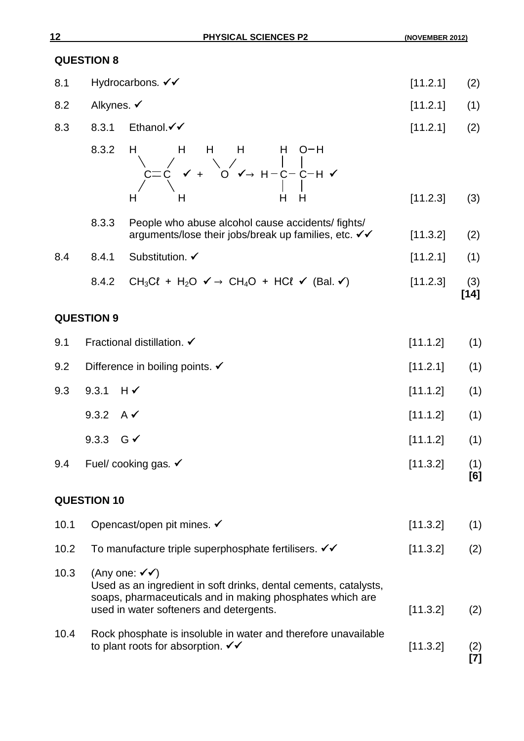**[7]**

## **QUESTION 8**

| 8.1 Hydrocarbons. $\checkmark\checkmark$ | $[11.2.1]$ (2) |  |
|------------------------------------------|----------------|--|
|                                          |                |  |

- 8.2 Alkynes.  $\checkmark$  (11.2.1] (1)
- 8.3 8.3.1 Ethanol.  $\checkmark$  (2)

8.3.2 H H H H H O-H  $C \times + \circ \circ \circ + \text{H--C--C--H}$ H H H H [11.2.3] (3)

- 8.3.3 People who abuse alcohol cause accidents/ fights/ arguments/lose their jobs/break up families, etc.  $\checkmark$  (11.3.2] (2)
- 8.4 8.4.1 Substitution. ✓ [11.2.1] (1)
	- 8.4.2 CH<sub>3</sub>Cl + H<sub>2</sub>O  $\checkmark$  → CH<sub>4</sub>O + HCl  $\checkmark$  (Bal.  $\checkmark$ ) [11.2.3] (3) **[14]**

## **QUESTION 9**

| 9.1  | Fractional distillation. ✔                                                                                                                                                                                     | [11.1.2] | (1)        |
|------|----------------------------------------------------------------------------------------------------------------------------------------------------------------------------------------------------------------|----------|------------|
| 9.2  | Difference in boiling points. $\checkmark$                                                                                                                                                                     | [11.2.1] | (1)        |
| 9.3  | 9.3.1<br>$H \sim$                                                                                                                                                                                              | [11.1.2] | (1)        |
|      | 9.3.2 A $\checkmark$                                                                                                                                                                                           | [11.1.2] | (1)        |
|      | 9.3.3 $G \checkmark$                                                                                                                                                                                           | [11.1.2] | (1)        |
| 9.4  | Fuel/ cooking gas. ✔                                                                                                                                                                                           | [11.3.2] | (1)<br>[6] |
|      | <b>QUESTION 10</b>                                                                                                                                                                                             |          |            |
| 10.1 | Opencast/open pit mines. ✔                                                                                                                                                                                     | [11.3.2] | (1)        |
| 10.2 | To manufacture triple superphosphate fertilisers. VV                                                                                                                                                           | [11.3.2] | (2)        |
| 10.3 | (Any one: $\checkmark\checkmark$ )<br>Used as an ingredient in soft drinks, dental cements, catalysts,<br>soaps, pharmaceuticals and in making phosphates which are<br>used in water softeners and detergents. | [11.3.2] | (2)        |
| 10.4 | Rock phosphate is insoluble in water and therefore unavailable                                                                                                                                                 |          |            |

to plant roots for absorption.  $\checkmark\checkmark$  (2) [11.3.2] (2)